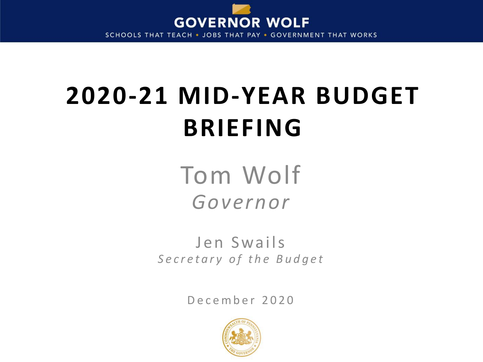

SCHOOLS THAT TEACH . JOBS THAT PAY . GOVERNMENT THAT WORKS

# **2020-21 MID-YEAR BUDGET BRIEFING**

Tom Wolf *Governor*

Jen Swails Secretary of the Budget

December 2020

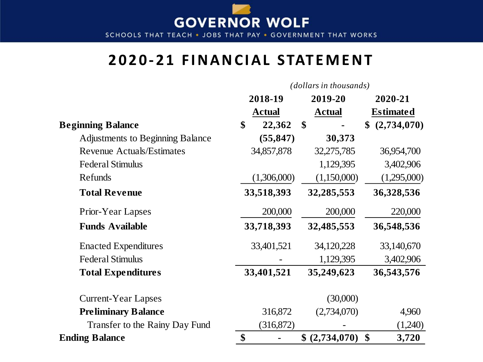

SCHOOLS THAT TEACH . JOBS THAT PAY . GOVERNMENT THAT WORKS

#### **2020-21 FINANCIAL STATEMENT**

#### *(dollars in thousands)*

|                                         | 2018-19 |               | 2019-20        | 2020-21                    |  |
|-----------------------------------------|---------|---------------|----------------|----------------------------|--|
|                                         |         | <b>Actual</b> | <b>Actual</b>  | <b>Estimated</b>           |  |
| <b>Beginning Balance</b>                |         | 22,362        | \$             | (2,734,070)                |  |
| <b>Adjustments to Beginning Balance</b> |         | (55, 847)     | 30,373         |                            |  |
| <b>Revenue Actuals/Estimates</b>        |         | 34,857,878    | 32,275,785     | 36,954,700                 |  |
| <b>Federal Stimulus</b>                 |         |               | 1,129,395      | 3,402,906                  |  |
| Refunds                                 |         | (1,306,000)   | (1,150,000)    | (1,295,000)                |  |
| <b>Total Revenue</b>                    |         | 33,518,393    | 32,285,553     | 36,328,536                 |  |
| <b>Prior-Year Lapses</b>                |         | 200,000       | 200,000        | 220,000                    |  |
| <b>Funds Available</b>                  |         | 33,718,393    | 32,485,553     | 36,548,536                 |  |
| <b>Enacted Expenditures</b>             |         | 33,401,521    | 34,120,228     | 33,140,670                 |  |
| <b>Federal Stimulus</b>                 |         |               | 1,129,395      | 3,402,906                  |  |
| <b>Total Expenditures</b>               |         | 33,401,521    | 35,249,623     | 36,543,576                 |  |
| <b>Current-Year Lapses</b>              |         |               | (30,000)       |                            |  |
| <b>Preliminary Balance</b>              |         | 316,872       | (2,734,070)    | 4,960                      |  |
| Transfer to the Rainy Day Fund          |         | (316, 872)    |                | (1,240)                    |  |
| <b>Ending Balance</b>                   | \$      |               | \$ (2,734,070) | $\boldsymbol{\$}$<br>3,720 |  |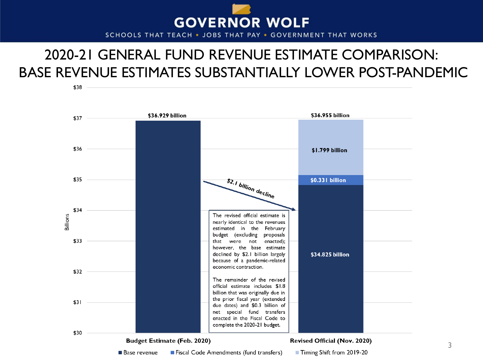

SCHOOLS THAT TEACH . JOBS THAT PAY . GOVERNMENT THAT WORKS

### 2020-21 GENERAL FUND REVENUE ESTIMATE COMPARISON: BASE REVENUE ESTIMATES SUBSTANTIALLY LOWER POST-PANDEMIC

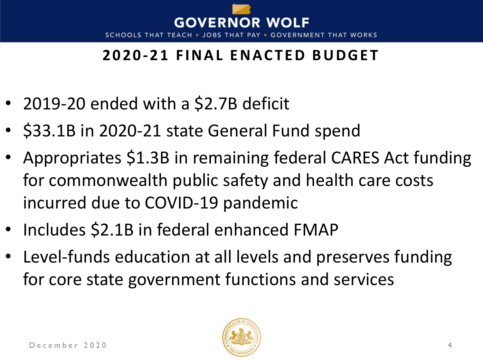

## **2020-21 FINAL ENACTED BUDGET**

- 2019-20 ended with a \$2.7B deficit
- \$33.1B in 2020-21 state General Fund spend
- Appropriates \$1.3B in remaining federal CARES Act funding for commonwealth public safety and health care costs incurred due to COVID-19 pandemic
- Includes \$2.1B in federal enhanced FMAP
- Level-funds education at all levels and preserves funding for core state government functions and services

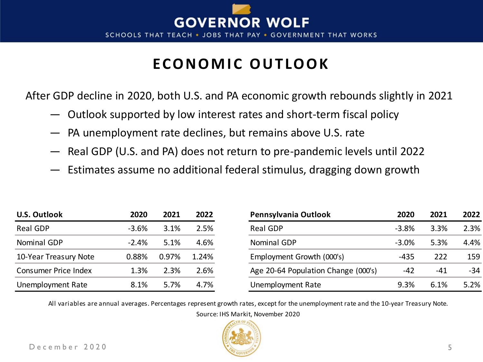

### ECONOMIC OUTLOOK

After GDP decline in 2020, both U.S. and PA economic growth rebounds slightly in 2021

- Outlook supported by low interest rates and short-term fiscal policy
- PA unemployment rate declines, but remains above U.S. rate
- Real GDP (U.S. and PA) does not return to pre-pandemic levels until 2022
- Estimates assume no additional federal stimulus, dragging down growth

| <b>U.S. Outlook</b>         | 2020     | 2021  | 2022  | Pennsylvania Outlook                | 2020    | 2021  | 2022  |
|-----------------------------|----------|-------|-------|-------------------------------------|---------|-------|-------|
| Real GDP                    | $-3.6\%$ | 3.1%  | 2.5%  | Real GDP                            | $-3.8%$ | 3.3%  | 2.3%  |
| Nominal GDP                 | $-2.4%$  | 5.1%  | 4.6%  | Nominal GDP                         | $-3.0%$ | 5.3%  | 4.4%  |
| 10-Year Treasury Note       | 0.88%    | 0.97% | 1.24% | Employment Growth (000's)           | $-435$  | 222   | 159   |
| <b>Consumer Price Index</b> | 1.3%     | 2.3%  | 2.6%  | Age 20-64 Population Change (000's) | $-42$   | $-41$ | $-34$ |
| Unemployment Rate           | 8.1%     | 5.7%  | 4.7%  | Unemployment Rate                   | 9.3%    | 6.1%  | 5.2%  |

All variables are annual averages. Percentages represent growth rates, except for the unemployment rate and the 10-year Treasury Note. Source: IHS Markit, November 2020

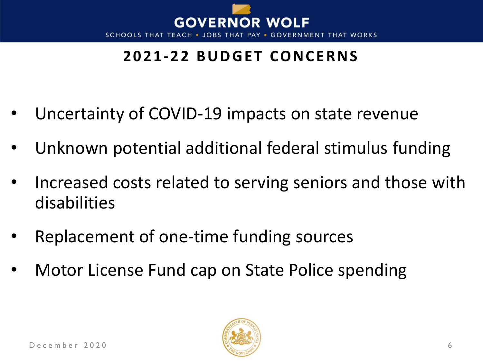

# **2021-22 BUDGET CONCERNS**

- Uncertainty of COVID-19 impacts on state revenue
- Unknown potential additional federal stimulus funding
- Increased costs related to serving seniors and those with disabilities
- Replacement of one-time funding sources
- Motor License Fund cap on State Police spending